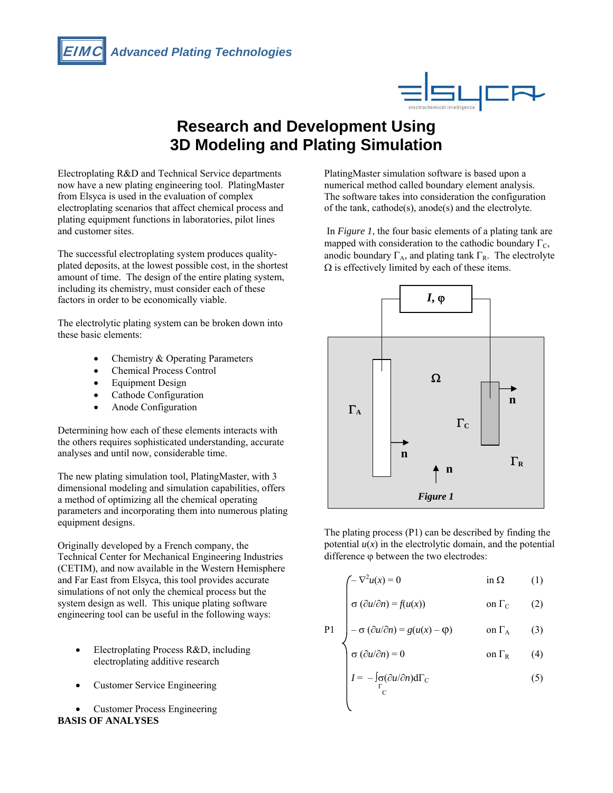**Advanced Plating Technologies** 



# **Research and Development Using 3D Modeling and Plating Simulation**

Electroplating R&D and Technical Service departments now have a new plating engineering tool. PlatingMaster from Elsyca is used in the evaluation of complex electroplating scenarios that affect chemical process and plating equipment functions in laboratories, pilot lines and customer sites.

The successful electroplating system produces qualityplated deposits, at the lowest possible cost, in the shortest amount of time. The design of the entire plating system, including its chemistry, must consider each of these factors in order to be economically viable.

The electrolytic plating system can be broken down into these basic elements:

- Chemistry & Operating Parameters
- Chemical Process Control
- Equipment Design
- Cathode Configuration
- Anode Configuration

Determining how each of these elements interacts with the others requires sophisticated understanding, accurate analyses and until now, considerable time.

The new plating simulation tool, PlatingMaster, with 3 dimensional modeling and simulation capabilities, offers a method of optimizing all the chemical operating parameters and incorporating them into numerous plating equipment designs.

Originally developed by a French company, the Technical Center for Mechanical Engineering Industries (CETIM), and now available in the Western Hemisphere and Far East from Elsyca, this tool provides accurate simulations of not only the chemical process but the system design as well. This unique plating software engineering tool can be useful in the following ways:

- Electroplating Process R&D, including electroplating additive research
- Customer Service Engineering

• Customer Process Engineering **BASIS OF ANALYSES** 

PlatingMaster simulation software is based upon a numerical method called boundary element analysis. The software takes into consideration the configuration of the tank, cathode(s), anode(s) and the electrolyte.

 In *Figure 1*, the four basic elements of a plating tank are mapped with consideration to the cathodic boundary  $\Gamma_{\text{C}}$ , anodic boundary  $\Gamma_A$ , and plating tank  $\Gamma_R$ . The electrolyte  $\Omega$  is effectively limited by each of these items.



The plating process (P1) can be described by finding the potential  $u(x)$  in the electrolytic domain, and the potential difference φ between the two electrodes:

$$
\int -\nabla^2 u(x) = 0 \qquad \text{in } \Omega \qquad (1)
$$

$$
\sigma\left(\frac{\partial u}{\partial n}\right) = f(u(x)) \qquad \text{on } \Gamma_{\text{C}} \qquad (2)
$$

$$
P1 \quad \int -\sigma \left(\frac{\partial u}{\partial n}\right) = g(u(x) - \phi) \qquad \text{on } \Gamma_A \qquad (3)
$$

$$
\sigma\left(\frac{\partial u}{\partial n}\right) = 0 \qquad \text{on } \Gamma_{\text{R}} \qquad (4)
$$

$$
I = -\int_{\Gamma} \sigma (\partial u / \partial n) d\Gamma_{\text{C}}
$$
 (5)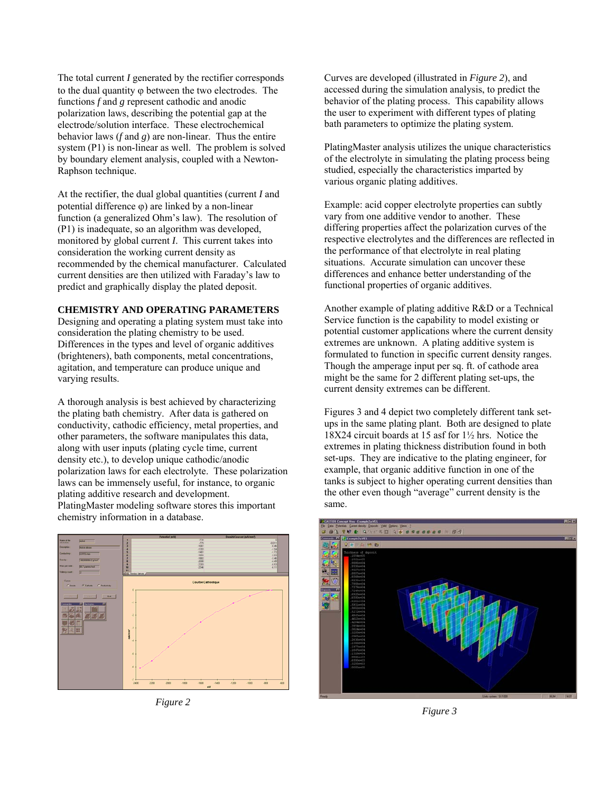The total current *I* generated by the rectifier corresponds to the dual quantity φ between the two electrodes. The functions *f* and *g* represent cathodic and anodic polarization laws, describing the potential gap at the electrode/solution interface. These electrochemical behavior laws (*f* and *g*) are non-linear. Thus the entire system (P1) is non-linear as well. The problem is solved by boundary element analysis, coupled with a Newton-Raphson technique.

At the rectifier, the dual global quantities (current *I* and potential difference ϕ) are linked by a non-linear function (a generalized Ohm's law). The resolution of (P1) is inadequate, so an algorithm was developed, monitored by global current *I*. This current takes into consideration the working current density as recommended by the chemical manufacturer. Calculated current densities are then utilized with Faraday's law to predict and graphically display the plated deposit.

#### **CHEMISTRY AND OPERATING PARAMETERS**

Designing and operating a plating system must take into consideration the plating chemistry to be used. Differences in the types and level of organic additives (brighteners), bath components, metal concentrations, agitation, and temperature can produce unique and varying results.

A thorough analysis is best achieved by characterizing the plating bath chemistry. After data is gathered on conductivity, cathodic efficiency, metal properties, and other parameters, the software manipulates this data, along with user inputs (plating cycle time, current density etc.), to develop unique cathodic/anodic polarization laws for each electrolyte. These polarization laws can be immensely useful, for instance, to organic plating additive research and development. PlatingMaster modeling software stores this important chemistry information in a database.



*Figure 2* 

Curves are developed (illustrated in *Figure 2*), and accessed during the simulation analysis, to predict the behavior of the plating process. This capability allows the user to experiment with different types of plating bath parameters to optimize the plating system.

PlatingMaster analysis utilizes the unique characteristics of the electrolyte in simulating the plating process being studied, especially the characteristics imparted by various organic plating additives.

Example: acid copper electrolyte properties can subtly vary from one additive vendor to another. These differing properties affect the polarization curves of the respective electrolytes and the differences are reflected in the performance of that electrolyte in real plating situations. Accurate simulation can uncover these differences and enhance better understanding of the functional properties of organic additives.

Another example of plating additive R&D or a Technical Service function is the capability to model existing or potential customer applications where the current density extremes are unknown. A plating additive system is formulated to function in specific current density ranges. Though the amperage input per sq. ft. of cathode area might be the same for 2 different plating set-ups, the current density extremes can be different.

Figures 3 and 4 depict two completely different tank setups in the same plating plant. Both are designed to plate 18X24 circuit boards at 15 asf for 1½ hrs. Notice the extremes in plating thickness distribution found in both set-ups. They are indicative to the plating engineer, for example, that organic additive function in one of the tanks is subject to higher operating current densities than the other even though "average" current density is the same.



*Figure 3*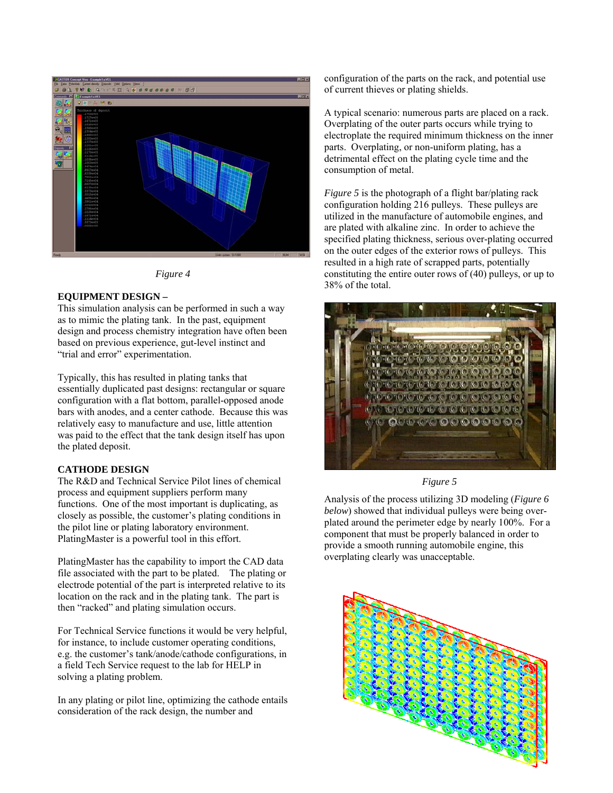



#### **EQUIPMENT DESIGN –**

This simulation analysis can be performed in such a way as to mimic the plating tank. In the past, equipment design and process chemistry integration have often been based on previous experience, gut-level instinct and "trial and error" experimentation.

Typically, this has resulted in plating tanks that essentially duplicated past designs: rectangular or square configuration with a flat bottom, parallel-opposed anode bars with anodes, and a center cathode. Because this was relatively easy to manufacture and use, little attention was paid to the effect that the tank design itself has upon the plated deposit.

#### **CATHODE DESIGN**

The R&D and Technical Service Pilot lines of chemical process and equipment suppliers perform many functions. One of the most important is duplicating, as closely as possible, the customer's plating conditions in the pilot line or plating laboratory environment. PlatingMaster is a powerful tool in this effort.

PlatingMaster has the capability to import the CAD data file associated with the part to be plated. The plating or electrode potential of the part is interpreted relative to its location on the rack and in the plating tank. The part is then "racked" and plating simulation occurs.

For Technical Service functions it would be very helpful, for instance, to include customer operating conditions, e.g. the customer's tank/anode/cathode configurations, in a field Tech Service request to the lab for HELP in solving a plating problem.

In any plating or pilot line, optimizing the cathode entails consideration of the rack design, the number and

configuration of the parts on the rack, and potential use of current thieves or plating shields.

A typical scenario: numerous parts are placed on a rack. Overplating of the outer parts occurs while trying to electroplate the required minimum thickness on the inner parts. Overplating, or non-uniform plating, has a detrimental effect on the plating cycle time and the consumption of metal.

*Figure 5* is the photograph of a flight bar/plating rack configuration holding 216 pulleys. These pulleys are utilized in the manufacture of automobile engines, and are plated with alkaline zinc. In order to achieve the specified plating thickness, serious over-plating occurred on the outer edges of the exterior rows of pulleys. This resulted in a high rate of scrapped parts, potentially constituting the entire outer rows of (40) pulleys, or up to 38% of the total.



#### *Figure 5*

Analysis of the process utilizing 3D modeling (*Figure 6 below*) showed that individual pulleys were being overplated around the perimeter edge by nearly 100%. For a component that must be properly balanced in order to provide a smooth running automobile engine, this overplating clearly was unacceptable.

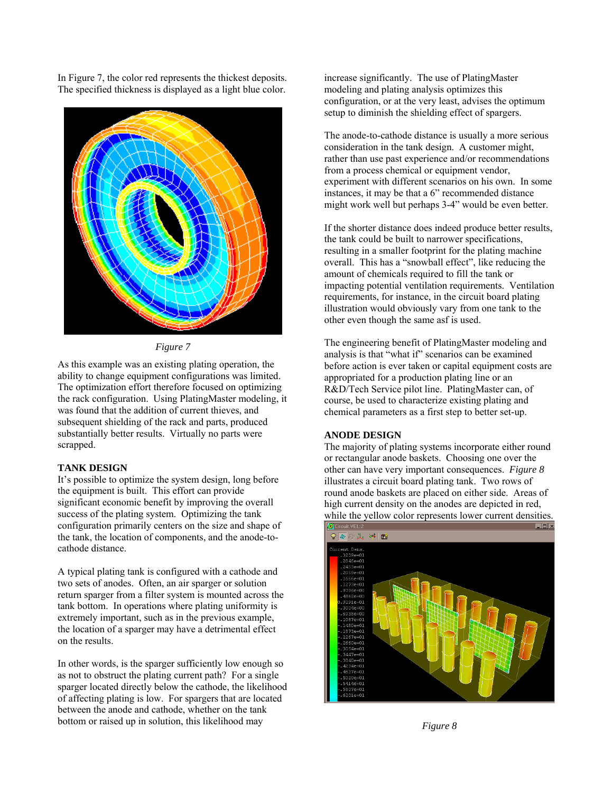In Figure 7, the color red represents the thickest deposits. The specified thickness is displayed as a light blue color.



*Figure 7* 

As this example was an existing plating operation, the ability to change equipment configurations was limited. The optimization effort therefore focused on optimizing the rack configuration. Using PlatingMaster modeling, it was found that the addition of current thieves, and subsequent shielding of the rack and parts, produced substantially better results. Virtually no parts were scrapped.

# **TANK DESIGN**

It's possible to optimize the system design, long before the equipment is built. This effort can provide significant economic benefit by improving the overall success of the plating system. Optimizing the tank configuration primarily centers on the size and shape of the tank, the location of components, and the anode-tocathode distance.

A typical plating tank is configured with a cathode and two sets of anodes. Often, an air sparger or solution return sparger from a filter system is mounted across the tank bottom. In operations where plating uniformity is extremely important, such as in the previous example, the location of a sparger may have a detrimental effect on the results.

In other words, is the sparger sufficiently low enough so as not to obstruct the plating current path? For a single sparger located directly below the cathode, the likelihood of affecting plating is low. For spargers that are located between the anode and cathode, whether on the tank bottom or raised up in solution, this likelihood may

increase significantly. The use of PlatingMaster modeling and plating analysis optimizes this configuration, or at the very least, advises the optimum setup to diminish the shielding effect of spargers.

The anode-to-cathode distance is usually a more serious consideration in the tank design. A customer might, rather than use past experience and/or recommendations from a process chemical or equipment vendor, experiment with different scenarios on his own. In some instances, it may be that a 6" recommended distance might work well but perhaps 3-4" would be even better.

If the shorter distance does indeed produce better results, the tank could be built to narrower specifications, resulting in a smaller footprint for the plating machine overall. This has a "snowball effect", like reducing the amount of chemicals required to fill the tank or impacting potential ventilation requirements. Ventilation requirements, for instance, in the circuit board plating illustration would obviously vary from one tank to the other even though the same asf is used.

The engineering benefit of PlatingMaster modeling and analysis is that "what if" scenarios can be examined before action is ever taken or capital equipment costs are appropriated for a production plating line or an R&D/Tech Service pilot line. PlatingMaster can, of course, be used to characterize existing plating and chemical parameters as a first step to better set-up.

# **ANODE DESIGN**

The majority of plating systems incorporate either round or rectangular anode baskets. Choosing one over the other can have very important consequences. *Figure 8*  illustrates a circuit board plating tank. Two rows of round anode baskets are placed on either side. Areas of high current density on the anodes are depicted in red, while the yellow color represents lower current densities.



*Figure 8*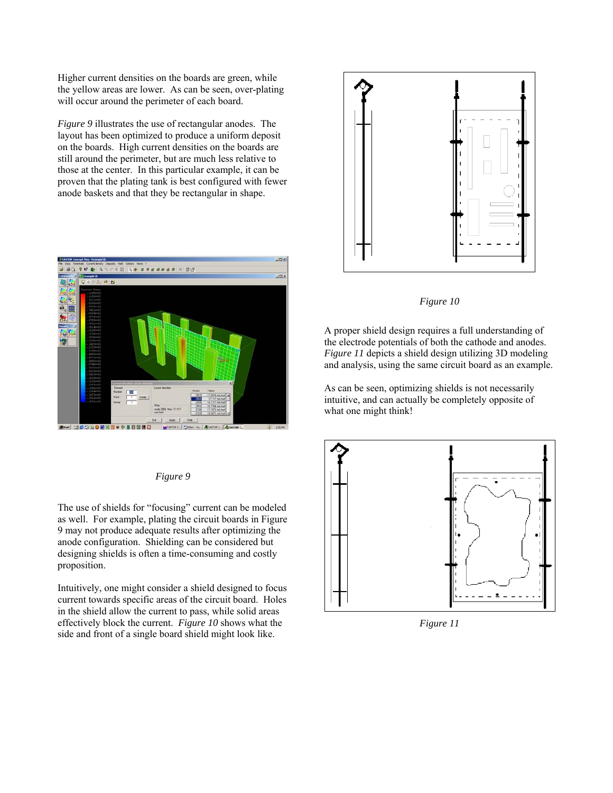Higher current densities on the boards are green, while the yellow areas are lower. As can be seen, over-plating will occur around the perimeter of each board.

*Figure 9* illustrates the use of rectangular anodes. The layout has been optimized to produce a uniform deposit on the boards. High current densities on the boards are still around the perimeter, but are much less relative to those at the center. In this particular example, it can be proven that the plating tank is best configured with fewer anode baskets and that they be rectangular in shape.



#### *Figure 9*

The use of shields for "focusing" current can be modeled as well. For example, plating the circuit boards in Figure 9 may not produce adequate results after optimizing the anode configuration. Shielding can be considered but designing shields is often a time-consuming and costly proposition.

Intuitively, one might consider a shield designed to focus current towards specific areas of the circuit board. Holes in the shield allow the current to pass, while solid areas effectively block the current. *Figure 10* shows what the side and front of a single board shield might look like.



#### *Figure 10*

A proper shield design requires a full understanding of the electrode potentials of both the cathode and anodes. *Figure 11* depicts a shield design utilizing 3D modeling and analysis, using the same circuit board as an example.

As can be seen, optimizing shields is not necessarily intuitive, and can actually be completely opposite of what one might think!



*Figure 11*